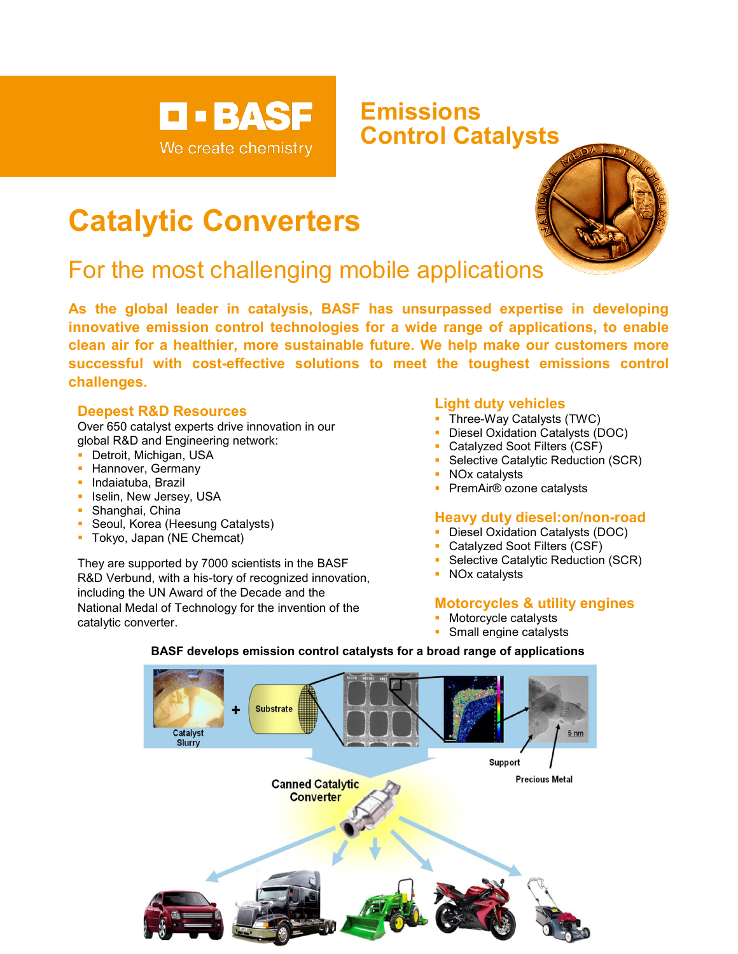

## **Emissions Control Catalysts**

# **Catalytic Converters**

# For the most challenging mobile applications



#### **Deepest R&D Resources**

Over 650 catalyst experts drive innovation in our global R&D and Engineering network:

- Detroit, Michigan, USA
- **Hannover, Germany**
- **Indaiatuba, Brazil**
- **In Iselin, New Jersey, USA**
- Shanghai, China
- **Seoul, Korea (Heesung Catalysts)**
- **Tokyo, Japan (NE Chemcat)**

They are supported by 7000 scientists in the BASF R&D Verbund, with a his-tory of recognized innovation, including the UN Award of the Decade and the National Medal of Technology for the invention of the catalytic converter.

#### **Light duty vehicles**

- **Three-Way Catalysts (TWC)**
- Diesel Oxidation Catalysts (DOC)
- Catalyzed Soot Filters (CSF)
- Selective Catalytic Reduction (SCR)
- NOx catalysts
- **PremAir<sup>®</sup> ozone catalysts**

#### **Heavy duty diesel:on/non-road**

- **Diesel Oxidation Catalysts (DOC)**
- **Catalyzed Soot Filters (CSF)**
- **Selective Catalytic Reduction (SCR)**
- **NOx catalysts**

### **Motorcycles & utility engines**

- **Motorcycle catalysts**
- **Small engine catalysts**



#### **BASF develops emission control catalysts for a broad range of applications**